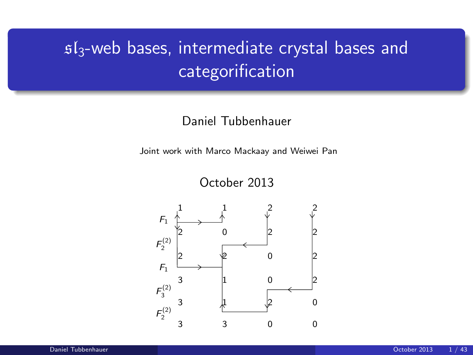# $s1_3$ -web bases, intermediate crystal bases and categorification

#### Daniel Tubbenhauer

Joint work with Marco Mackaay and Weiwei Pan

October 2013

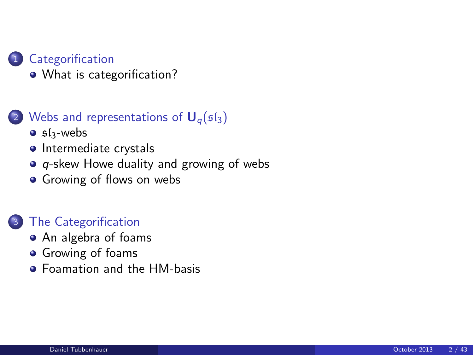### **[Categorification](#page-2-0)**

• [What is categorification?](#page-2-0)

#### [Webs and representations of](#page-4-0)  $U_q(sI_3)$

- $\bullet$  sl<sub>3</sub>[-webs](#page-4-0)
- [Intermediate crystals](#page-10-0)
- $\bullet$  q[-skew Howe duality and growing of webs](#page-13-0)
- **•** [Growing of flows on webs](#page-19-0)

#### [The Categorification](#page-24-0)

- [An algebra of foams](#page-24-0)
- **•** [Growing of foams](#page-31-0)
- **•** [Foamation and the HM-basis](#page-36-0)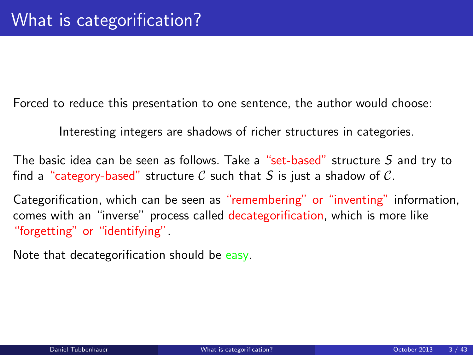Forced to reduce this presentation to one sentence, the author would choose:

Interesting integers are shadows of richer structures in categories.

The basic idea can be seen as follows. Take a "set-based" structure S and try to find a "category-based" structure C such that S is just a shadow of C.

Categorification, which can be seen as "remembering" or "inventing" information, comes with an "inverse" process called decategorification, which is more like "forgetting" or "identifying".

<span id="page-2-0"></span>Note that decategorification should be easy.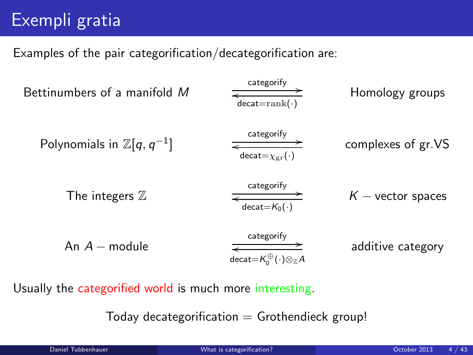# Exempli gratia

Examples of the pair categorification/decategorification are:

| Betweenbers of a manifold              | Caegorify                                       |                     |
|----------------------------------------|-------------------------------------------------|---------------------|
| Polynomials in $\mathbb{Z}[q, q^{-1}]$ | $\frac{Categorical = rank(\cdot)}{d \cdot C}$   | Complexes of gr.VS  |
| The integers $\mathbb{Z}$              | $\frac{Categorical = X_{gr}(\cdot)}{d \cdot C}$ | $K$ - vector spaces |
| An $A$ - module                        | $\frac{Categorical = K_0(\cdot)}{d \cdot C}$    | additive category   |

Usually the categorified world is much more interesting.

Today decategorification  $=$  Grothendieck group!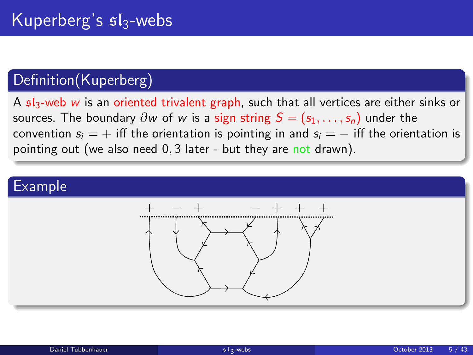## Definition(Kuperberg)

A  $5I_3$ -web w is an oriented trivalent graph, such that all vertices are either sinks or sources. The boundary  $\partial w$  of w is a sign string  $S = (s_1, \ldots, s_n)$  under the convention  $s_i = +$  iff the orientation is pointing in and  $s_i = -$  iff the orientation is pointing out (we also need 0, 3 later - but they are not drawn).

<span id="page-4-0"></span>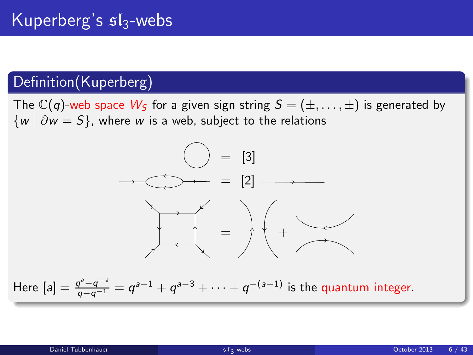## Definition(Kuperberg)

The  $\mathbb{C}(q)$ -web space  $W_S$  for a given sign string  $S = (\pm, \dots, \pm)$  is generated by  $\{w \mid \partial w = S\}$ , where w is a web, subject to the relations

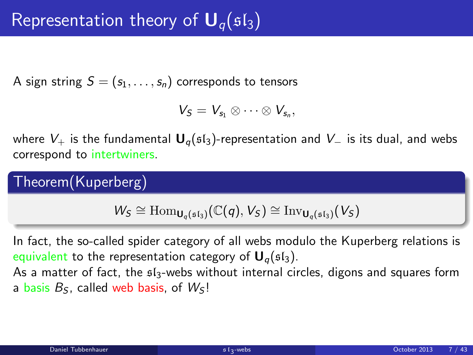A sign string  $S = (s_1, \ldots, s_n)$  corresponds to tensors

$$
V_S=V_{s_1}\otimes\cdots\otimes V_{s_n},
$$

where  $V_+$  is the fundamental  $U_q$ ( $\mathfrak{sl}_3$ )-representation and  $V_-$  is its dual, and webs correspond to intertwiners.

Theorem(Kuperberg)

 $W_S \cong \text{Hom}_{\mathbf{U}_q(\mathfrak{sl}_3)}(\mathbb{C}(q),V_S) \cong \text{Inv}_{\mathbf{U}_q(\mathfrak{sl}_3)}(V_S)$ 

In fact, the so-called spider category of all webs modulo the Kuperberg relations is equivalent to the representation category of  $U_q(sI_3)$ . As a matter of fact, the  $\mathfrak{sl}_3$ -webs without internal circles, digons and squares form

a basis  $B<sub>S</sub>$ , called web basis, of  $W<sub>S</sub>$ !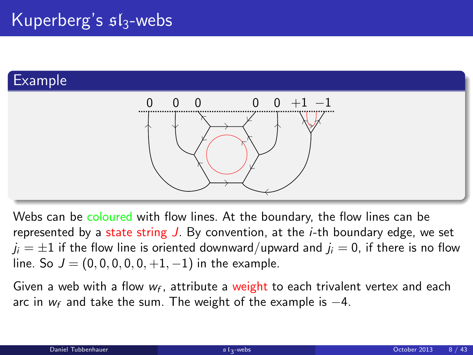## Example



Webs can be coloured with flow lines. At the boundary, the flow lines can be represented by a state string  $J$ . By convention, at the *i*-th boundary edge, we set  $j_i = \pm 1$  if the flow line is oriented downward/upward and  $j_i = 0$ , if there is no flow line. So  $J = (0, 0, 0, 0, 0, +1, -1)$  in the example.

Given a web with a flow  $w_f$ , attribute a weight to each trivalent vertex and each arc in  $w_f$  and take the sum. The weight of the example is  $-4$ .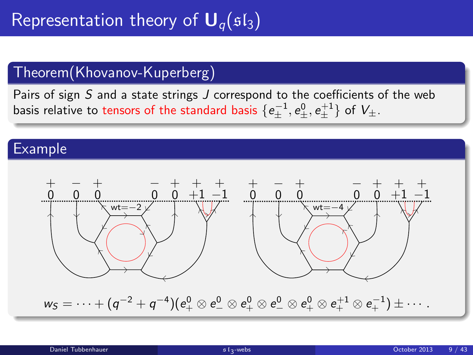## Theorem(Khovanov-Kuperberg)

Pairs of sign S and a state strings J correspond to the coefficients of the web basis relative to tensors of the standard basis  $\{e_\pm^{-1},e_\pm^0,e_\pm^{+1}\}$  of  $V_\pm$ .

#### Example

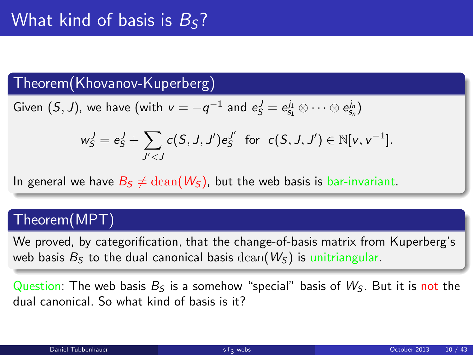## Theorem(Khovanov-Kuperberg)

Given 
$$
(S, J)
$$
, we have (with  $v = -q^{-1}$  and  $e_S^J = e_{s_1}^{j_1} \otimes \cdots \otimes e_{s_n}^{j_n}$ )

$$
w_{\mathsf{S}}^{\mathcal{Y}} = e_{\mathsf{S}}^{\mathcal{Y}} + \sum_{J^{\prime} < J} c(S, J, J^{\prime}) e_{\mathsf{S}}^{J^{\prime}} \text{ for } c(S, J, J^{\prime}) \in \mathbb{N}[v, v^{-1}].
$$

In general we have  $B_5 \neq \text{dcan}(W_5)$ , but the web basis is bar-invariant.

#### Theorem(MPT)

We proved, by categorification, that the change-of-basis matrix from Kuperberg's web basis  $B<sub>S</sub>$  to the dual canonical basis  $dcan(W<sub>S</sub>)$  is unitriangular.

Question: The web basis  $B_5$  is a somehow "special" basis of  $W_5$ . But it is not the dual canonical. So what kind of basis is it?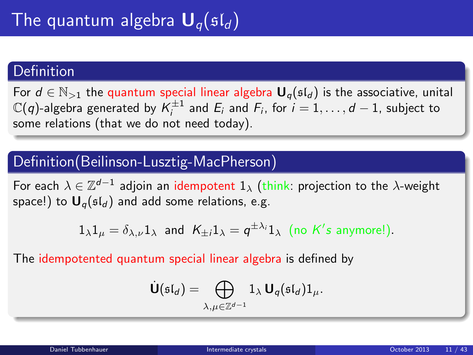#### Definition

For  $d \in \mathbb{N}_{>1}$  the quantum special linear algebra  $\mathbf{U}_q(\mathfrak{sl}_d)$  is the associative, unital  $\mathbb{C}(q)$ -algebra generated by  $\mathcal{K}_i^{\pm 1}$  and  $E_i$  and  $F_i$ , for  $i=1,\ldots,d-1$ , subject to some relations (that we do not need today).

### Definition(Beilinson-Lusztig-MacPherson)

For each  $\lambda\in\mathbb{Z}^{d-1}$  adjoin an idempotent  $1_\lambda$  (think: projection to the  $\lambda$ -weight space!) to  $U_q(\mathfrak{sl}_d)$  and add some relations, e.g.

$$
1_{\lambda}1_{\mu} = \delta_{\lambda,\nu}1_{\lambda}
$$
 and  $K_{\pm i}1_{\lambda} = q^{\pm \lambda_i}1_{\lambda}$  (no *K*'s anymore!).

The idempotented quantum special linear algebra is defined by

<span id="page-10-0"></span>
$$
\dot{\mathbf{U}}(\mathfrak{sl}_d) = \bigoplus_{\lambda,\mu \in \mathbb{Z}^{d-1}} 1_{\lambda} \mathbf{U}_q(\mathfrak{sl}_d) 1_{\mu}.
$$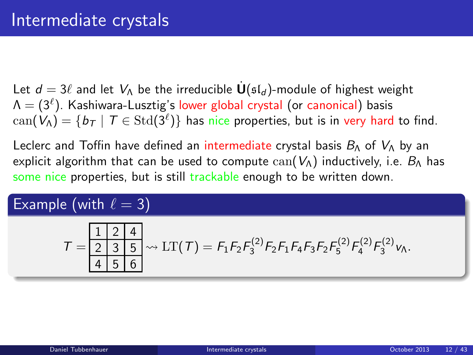Let  $d = 3\ell$  and let  $V_{\Lambda}$  be the irreducible  $U(\mathfrak{sl}_d)$ -module of highest weight  $\mathsf{\Lambda}=(3^{\ell}).$  Kashiwara-Lusztig's lower global crystal (or canonical) basis  $\mathrm{can}(V_\Delta)=\{b_T\mid T\in \mathrm{Std}(3^\ell)\}$  has nice properties, but is in very hard to find.

Leclerc and Toffin have defined an intermediate crystal basis  $B_{\Lambda}$  of  $V_{\Lambda}$  by an explicit algorithm that can be used to compute  $can(V<sub>A</sub>)$  inductively, i.e.  $B<sub>A</sub>$  has some nice properties, but is still trackable enough to be written down.

## Example (with  $\ell = 3$ )

$$
T = \frac{1 \mid 2 \mid 4}{2 \mid 3 \mid 5} \rightsquigarrow \mathrm{LT}(T) = F_1 F_2 F_3^{(2)} F_2 F_1 F_4 F_3 F_2 F_5^{(2)} F_4^{(2)} F_3^{(2)} v_A.
$$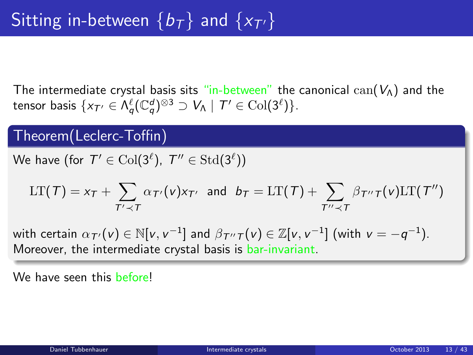The intermediate crystal basis sits "in-between" the canonical  $can(V_{\Lambda})$  and the tensor basis  $\{x_{\mathcal{T}'}\in \Lambda^{\ell}_{\mathsf{q}}(\mathbb{C}^d_{\mathsf{q}})^{\otimes 3}\supset V_{\Lambda}\mid \mathcal{T}'\in \mathrm{Col}(3^{\ell})\}.$ 

#### Theorem(Leclerc-Toffin)

We have (for  $\mathcal{T}'\in \text{Col}(3^{\ell}), \ \mathcal{T}''\in \text{Std}(3^{\ell}))$ 

$$
LT(\mathcal{T}) = x_{\mathcal{T}} + \sum_{\mathcal{T}' \prec \mathcal{T}} \alpha_{\mathcal{T}'}(v) x_{\mathcal{T}'} \text{ and } b_{\mathcal{T}} = LT(\mathcal{T}) + \sum_{\mathcal{T}'' \prec \mathcal{T}} \beta_{\mathcal{T}''} \tau(v) LT(\mathcal{T}'')
$$

with certain  $\alpha_{\mathcal{T}'}(\mathsf{v})\in\mathbb{N}[\mathsf{v},\mathsf{v}^{-1}]$  and  $\beta_{\mathcal{T}''\mathcal{T}}(\mathsf{v})\in\mathbb{Z}[\mathsf{v},\mathsf{v}^{-1}]$  (with  $\mathsf{v}=-q^{-1}).$ Moreover, the intermediate crystal basis is bar-invariant.

We have seen this before!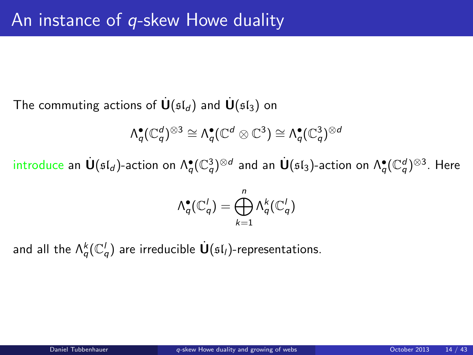The commuting actions of  $\mathbf{U}(\mathfrak{sl}_d)$  and  $\mathbf{U}(\mathfrak{sl}_3)$  on

$$
\Lambda_q^{\bullet}(\mathbb{C}_q^d)^{\otimes 3} \cong \Lambda_q^{\bullet}(\mathbb{C}^d \otimes \mathbb{C}^3) \cong \Lambda_q^{\bullet}(\mathbb{C}_q^3)^{\otimes d}
$$

introduce an  $\dot{{\bf U}}(\mathfrak{sl}_d)$ -action on  $\Lambda^{\bullet}_q(\mathbb{C}_q^3)^{\otimes d}$  and an  $\dot{{\bf U}}(\mathfrak{sl}_3)$ -action on  $\Lambda^{\bullet}_q(\mathbb{C}_q^d)^{\otimes 3}.$  Here

<span id="page-13-0"></span>
$$
\Lambda_q^{\bullet}(\mathbb{C}_q^l)=\bigoplus_{k=1}^n \Lambda_q^k(\mathbb{C}_q^l)
$$

and all the  $\Lambda^k_q({\mathbb C}_q^l)$  are irreducible  $\dot{{\bf U}}(\mathfrak{sl}_l)$ -representations.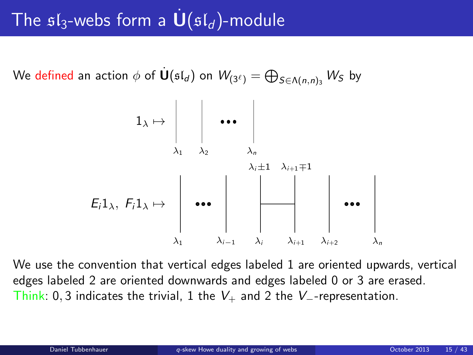# The  $sI_3$ -webs form a  $\mathbf{U}(sI_d)$ -module

We defined an action  $\phi$  of  $\dot{\textbf U}(\mathfrak{sl}_d)$  on  $\mathcal W_{(3^\ell)}=\bigoplus_{S\in\Lambda(n,n)_3} \mathcal W_S$  by



We use the convention that vertical edges labeled 1 are oriented upwards, vertical edges labeled 2 are oriented downwards and edges labeled 0 or 3 are erased. Think: 0, 3 indicates the trivial, 1 the  $V_+$  and 2 the  $V_-$ -representation.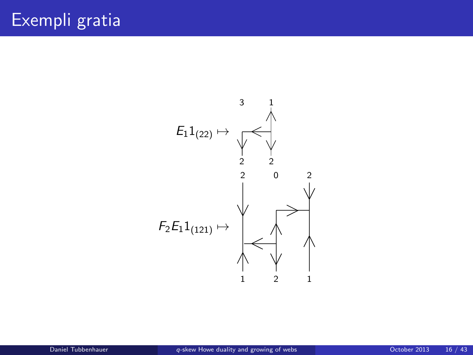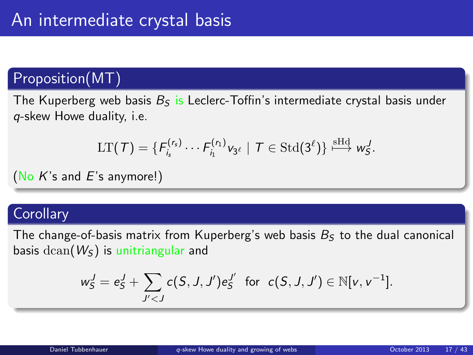## Proposition(MT)

The Kuperberg web basis  $B_5$  is Leclerc-Toffin's intermediate crystal basis under q-skew Howe duality, i.e.

$$
\mathrm{LT}(\mathcal{T})=\{F_{i_s}^{(r_s)}\cdots F_{i_1}^{(r_1)}v_{3^{\ell}}\mid \mathcal{T}\in \mathrm{Std}(3^{\ell})\}\overset{\mathrm{sHd}}{\longmapsto}w_5^J.
$$

(No  $K$ 's and  $E$ 's anymore!)

#### **Corollary**

The change-of-basis matrix from Kuperberg's web basis  $B<sub>S</sub>$  to the dual canonical basis  $dcan(W<sub>S</sub>)$  is unitriangular and

$$
w_S^J = e_S^J + \sum_{J' < J} c(S, J, J') e_S^{J'}
$$
 for  $c(S, J, J') \in \mathbb{N}[v, v^{-1}].$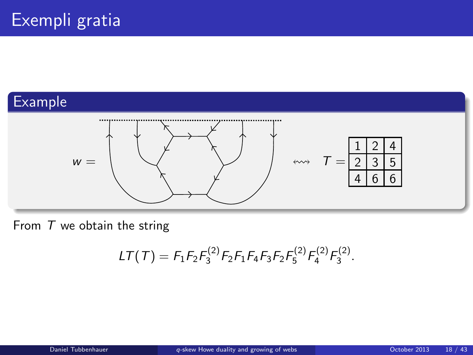## Example



From  $T$  we obtain the string

$$
LT(\mathcal{T}) = F_1 F_2 F_3^{(2)} F_2 F_1 F_4 F_3 F_2 F_5^{(2)} F_4^{(2)} F_3^{(2)}.
$$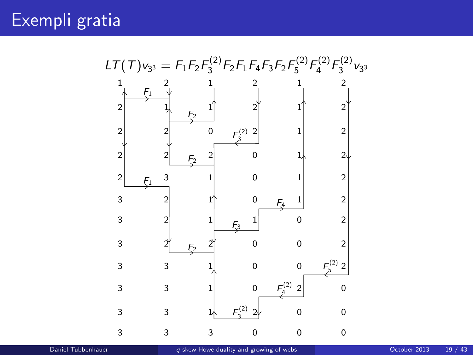Exempli gratia

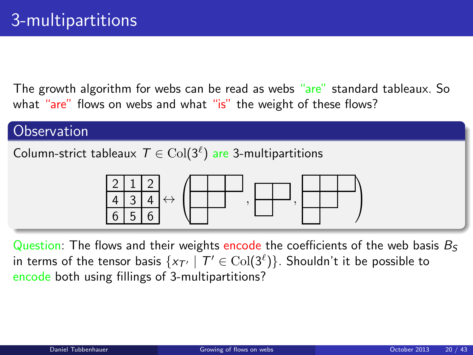The growth algorithm for webs can be read as webs "are" standard tableaux. So what "are" flows on webs and what "is" the weight of these flows?

#### **Observation**

Column-strict tableaux  $\mathcal{T} \in \mathrm{Col}(3^\ell)$  are 3-multipartitions

<span id="page-19-0"></span>

Question: The flows and their weights encode the coefficients of the web basis  $B_5$ in terms of the tensor basis  $\{ x_{\mathcal{T}'} \mid \mathcal{T}' \in \mathrm{Col}(3^\ell) \}.$  Shouldn't it be possible to encode both using fillings of 3-multipartitions?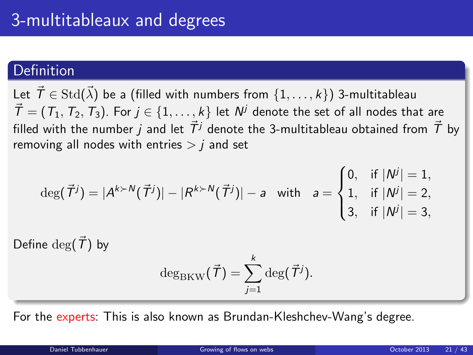#### Definition

Let  $\vec{\mathcal{T}}\in \mathrm{Std}(\vec{\lambda})$  be a (filled with numbers from  $\{1,\ldots,k\})$  3-multitableau  $\vec{\mathcal{T}} = (\mathcal{T}_1,\mathcal{T}_2,\mathcal{T}_3).$  For  $j \in \{1,\ldots,k\}$  let  $\mathcal{N}^j$  denote the set of all nodes that are filled with the number *j* and let  $\vec{T}$ <sup>*j*</sup> denote the 3-multitableau obtained from  $\vec{T}$  by removing all nodes with entries  $> i$  and set

$$
\deg(\vec{\mathcal{T}}^j) = |A^{k \succ N}(\vec{\mathcal{T}}^j)| - |R^{k \succ N}(\vec{\mathcal{T}}^j)| - a \text{ with } a = \begin{cases} 0, & \text{if } |N^j| = 1, \\ 1, & \text{if } |N^j| = 2, \\ 3, & \text{if } |N^j| = 3, \end{cases}
$$

Define deg( $\vec{T}$ ) by

$$
\deg_{\rm BKW}(\vec{\mathcal{T}})=\sum_{j=1}^k\deg(\vec{\mathcal{T}}^j).
$$

For the experts: This is also known as Brundan-Kleshchev-Wang's degree.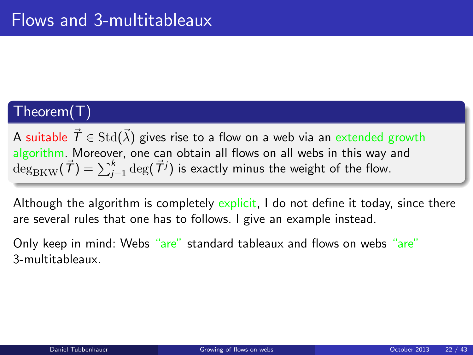## Theorem(T)

A suitable  $\vec{\mathcal{T}}\in \mathrm{Std}(\vec{\lambda})$  gives rise to a flow on a web via an extended growth algorithm. Moreover, one can obtain all flows on all webs in this way and  $\deg_{\rm BKW}({\vec{\mathcal{T}}})=\sum_{j=1}^k\deg({\vec{\mathcal{T}}}^j)$  is exactly minus the weight of the flow.

Although the algorithm is completely explicit, I do not define it today, since there are several rules that one has to follows. I give an example instead.

Only keep in mind: Webs "are" standard tableaux and flows on webs "are" 3-multitableaux.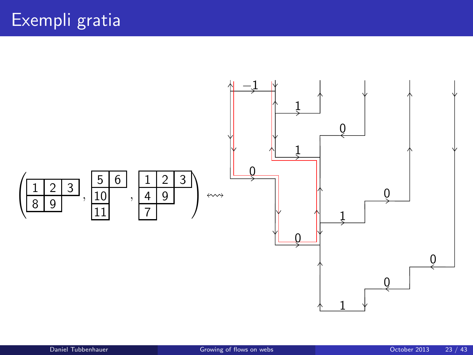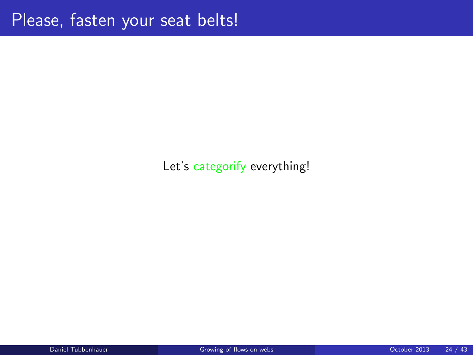#### Let's categorify everything!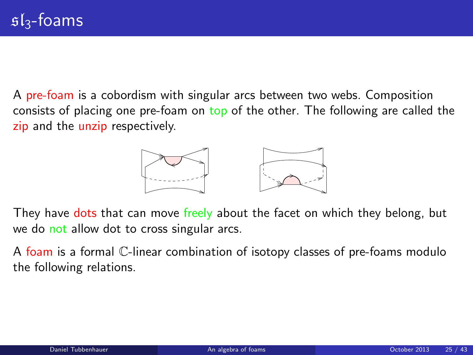A pre-foam is a cobordism with singular arcs between two webs. Composition consists of placing one pre-foam on top of the other. The following are called the zip and the unzip respectively.

<span id="page-24-0"></span>

They have dots that can move freely about the facet on which they belong, but we do not allow dot to cross singular arcs.

A foam is a formal C-linear combination of isotopy classes of pre-foams modulo the following relations.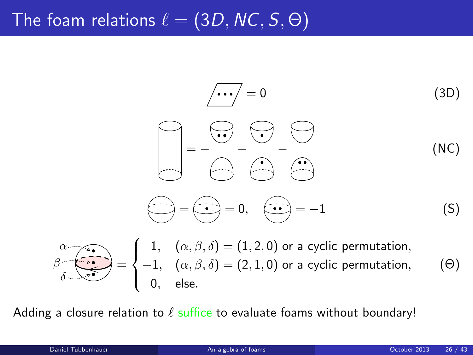# The foam relations  $\ell = (3D, NC, S, \Theta)$

$$
\begin{array}{ccc}\n&\overline{\cdots} = 0 & (3D) \\
&= & - & \overline{\cdots} & - \\
&= & - & \overline{\cdots} & - \\
&= & - & \overline{\cdots} & - \\
&= & - & \overline{\cdots} & - \\
&= & - & \overline{\cdots} & - \\
&= & - & \overline{\cdots} & - \\
&= & - & \overline{\cdots} & - \\
&= & - & \overline{\cdots} & - \\
&= & - & \overline{\cdots} & - \\
&= & & \overline{\cdots} & - & (5)\n\end{array}
$$

$$
\beta \overbrace{\delta}_{\delta} = \begin{cases} 1, & (\alpha, \beta, \delta) = (1, 2, 0) \text{ or a cyclic permutation,} \\ -1, & (\alpha, \beta, \delta) = (2, 1, 0) \text{ or a cyclic permutation,} \\ 0, & \text{else.} \end{cases} \tag{0}
$$

Adding a closure relation to  $\ell$  suffice to evaluate foams without boundary!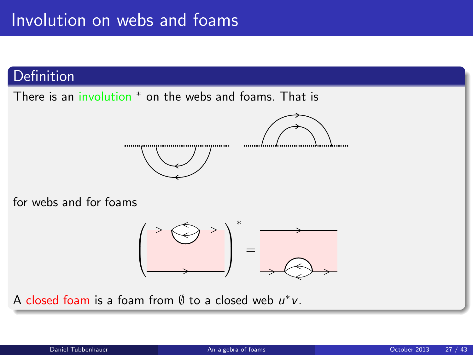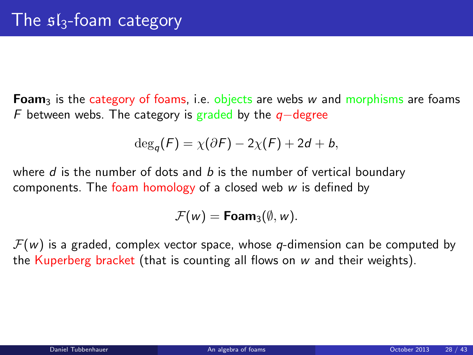**Foam**<sub>3</sub> is the category of foams, i.e. objects are webs w and morphisms are foams F between webs. The category is graded by the  $q$ −degree

$$
\deg_q(F) = \chi(\partial F) - 2\chi(F) + 2d + b,
$$

where  $d$  is the number of dots and  $b$  is the number of vertical boundary components. The foam homology of a closed web  $w$  is defined by

$$
\mathcal{F}(w) = \text{Foam}_3(\emptyset, w).
$$

 $\mathcal{F}(w)$  is a graded, complex vector space, whose q-dimension can be computed by the Kuperberg bracket (that is counting all flows on  $w$  and their weights).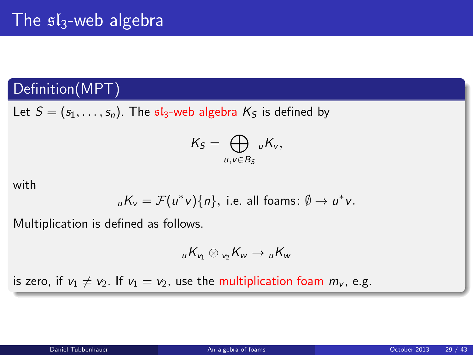## Definition(MPT)

Let  $S = (s_1, \ldots, s_n)$ . The  $sI_3$ -web algebra  $K_S$  is defined by

$$
K_S=\bigoplus_{u,v\in B_S} {}_uK_v,
$$

with

$$
_{u}K_{v}=\mathcal{F}(u^{*}v)\{n\},
$$
 i.e. all foams:  $\emptyset \to u^{*}v$ .

Multiplication is defined as follows.

$$
{}_{u}K_{v_1}\otimes{}_{v_2}K_{w}\to {}_{u}K_{w}
$$

is zero, if  $v_1 \neq v_2$ . If  $v_1 = v_2$ , use the multiplication foam  $m_v$ , e.g.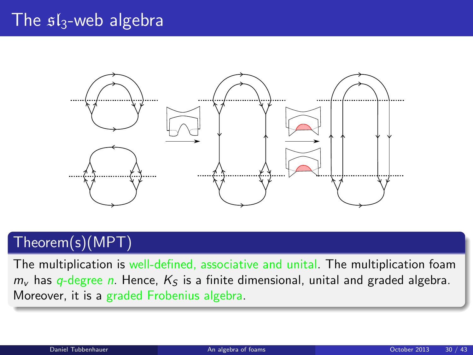## The  $sI_3$ -web algebra



## Theorem(s)(MPT)

The multiplication is well-defined, associative and unital. The multiplication foam  $m<sub>v</sub>$  has q-degree n. Hence,  $K<sub>S</sub>$  is a finite dimensional, unital and graded algebra. Moreover, it is a graded Frobenius algebra.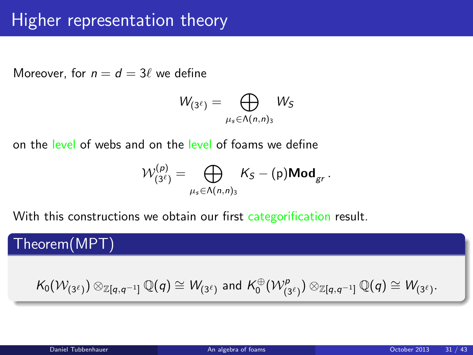# Higher representation theory

Moreover, for  $n = d = 3\ell$  we define

$$
W_{(3^\ell)}=\bigoplus_{\mu_s\in \Lambda(n,n)_3}W_S
$$

on the level of webs and on the level of foams we define

$$
\mathcal{W}^{(p)}_{(3^{\ell})} = \bigoplus_{\mu_s \in \Lambda(n,n)_3} K_S - (\mathrm{p}) \mathsf{Mod}_{gr}.
$$

With this constructions we obtain our first categorification result.

Theorem(MPT)

$$
\mathcal{K}_0(\mathcal{W}_{(3^\ell)}) \otimes_{\mathbb{Z} [q,q^{-1}]} \mathbb{Q}(q) \cong \mathcal{W}_{(3^\ell)} \text{ and } \mathcal{K}_0^\oplus(\mathcal{W}_{(3^\ell)}^\rho) \otimes_{\mathbb{Z} [q,q^{-1}]} \mathbb{Q}(q) \cong \mathcal{W}_{(3^\ell)}.
$$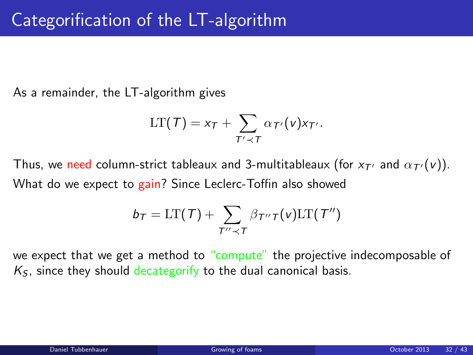As a remainder, the LT-algorithm gives

$$
LT(\mathcal{T}) = x_{\mathcal{T}} + \sum_{\mathcal{T}' \prec \mathcal{T}} \alpha_{\mathcal{T}'}(v) x_{\mathcal{T}'}.
$$

Thus, we need column-strict tableaux and 3-multitableaux (for  $x_{\tau'}$  and  $\alpha_{\tau'}(v)$ ). What do we expect to gain? Since Leclerc-Toffin also showed

<span id="page-31-0"></span>
$$
b_T = \text{LT}(\mathcal{T}) + \sum_{T'' \prec T} \beta_{T''T}(v) \text{LT}(T'')
$$

we expect that we get a method to "compute" the projective indecomposable of  $K<sub>S</sub>$ , since they should decategorify to the dual canonical basis.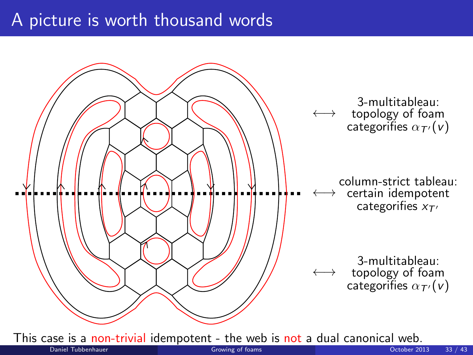## A picture is worth thousand words

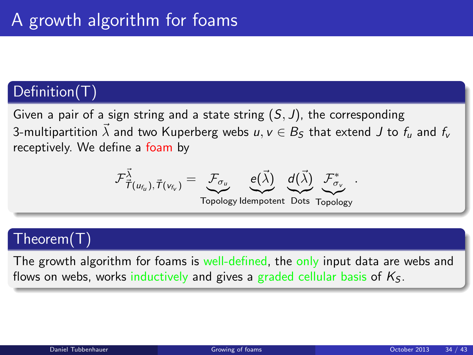#### Definition(T)

Given a pair of a sign string and a state string  $(S, J)$ , the corresponding 3-multipartition  $\vec{\lambda}$  and two Kuperberg webs  $u, v \in B_S$  that extend J to  $f_u$  and  $f_v$ receptively. We define a foam by

$$
\mathcal{F}_{\vec{\mathcal{T}}(u_{f_u}), \vec{\mathcal{T}}(v_{f_v})}^{\vec{\lambda}} = \underbrace{\mathcal{F}_{\sigma_u}}_{\text{max}} \quad \underbrace{e(\vec{\lambda})}_{\text{max}} \quad \underbrace{d(\vec{\lambda})}_{\text{max}} \quad \mathcal{F}_{\sigma_v}^*
$$

Topology Idempotent Dots Topology

.

#### Theorem(T)

The growth algorithm for foams is well-defined, the only input data are webs and flows on webs, works inductively and gives a graded cellular basis of  $K<sub>S</sub>$ .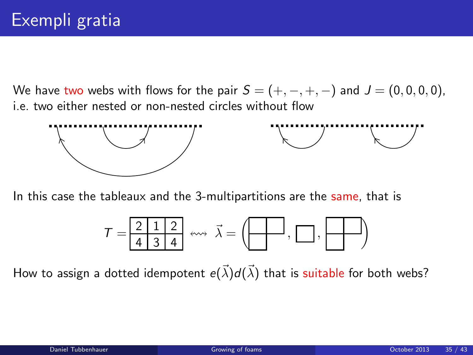We have two webs with flows for the pair  $S = (+, -, +, -)$  and  $J = (0, 0, 0, 0)$ , i.e. two either nested or non-nested circles without flow



In this case the tableaux and the 3-multipartitions are the same, that is

$$
\mathcal{T} = \boxed{\frac{2}{4} \boxed{1}{3} \boxed{4}} \iff \vec{\lambda} = \left(\boxed{\phantom{124} \boxed{1}} \right), \boxed{\phantom{124} \boxed{1}} \tag{14}
$$

How to assign a dotted idempotent  $e(\vec{\lambda}) d(\vec{\lambda})$  that is suitable for both webs?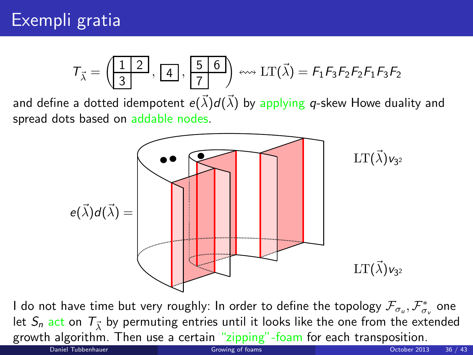$$
\mathcal{T}_{\vec{\lambda}} = \left(\begin{array}{|c|}\n\boxed{1 & 2} \\
\boxed{3}\n\end{array}, \begin{array}{|c|}\n\boxed{4} \\
\end{array}, \begin{array}{|c|}\n\boxed{5 & 6} \\
\hline\n\boxed{7}\n\end{array}\right) \leftrightarrow \text{LT}(\vec{\lambda}) = \mathcal{F}_1 \mathcal{F}_3 \mathcal{F}_2 \mathcal{F}_2 \mathcal{F}_1 \mathcal{F}_3 \mathcal{F}_2
$$

and define a dotted idempotent  $e(\vec{\lambda}) d(\vec{\lambda})$  by applying  $q$ -skew Howe duality and spread dots based on addable nodes.



I do not have time but very roughly: In order to define the topology  $\mathcal{F}_{\sigma_u},\mathcal{F}_{\sigma_v}^*$  one let  $\mathcal{S}_n$  act on  $\mathcal{T}_{\vec{\lambda}}$  by permuting entries until it looks like the one from the extended growth algorithm. Then use a certain "zipping"-foam for each transposition.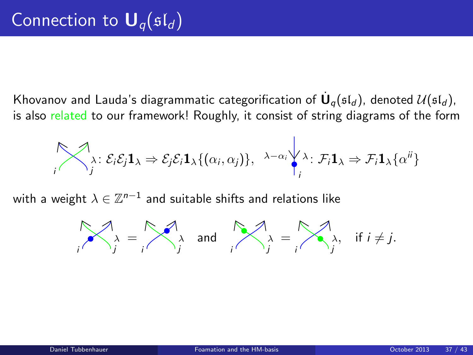Khovanov and Lauda's diagrammatic categorification of  $\dot{\mathsf{U}}_q(\mathfrak{sl}_d)$ , denoted  $\mathcal{U}(\mathfrak{sl}_d)$ , is also related to our framework! Roughly, it consist of string diagrams of the form

$$
\bigotimes_i \lambda_i : \mathcal{E}_i \mathcal{E}_j \mathbf{1}_{\lambda} \Rightarrow \mathcal{E}_j \mathcal{E}_i \mathbf{1}_{\lambda} \{(\alpha_i, \alpha_j)\}, \lambda - \alpha_i \bigvee_i \lambda_i : \mathcal{F}_i \mathbf{1}_{\lambda} \Rightarrow \mathcal{F}_i \mathbf{1}_{\lambda} \{\alpha^{ij}\}
$$

with a weight  $\lambda\in\mathbb{Z}^{n-1}$  and suitable shifts and relations like

<span id="page-36-0"></span>
$$
\bigwedge_i \lambda = \bigwedge_j \lambda \text{ and } \bigwedge_j \lambda = \bigwedge_j \lambda, \text{ if } i \neq j.
$$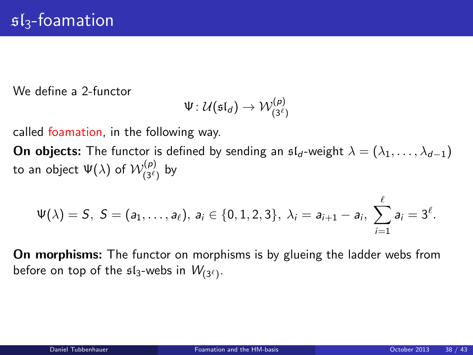We define a 2-functor

$$
\Psi\colon\mathcal{U}(\mathfrak{sl}_d)\to\mathcal{W}^{(p)}_{(3^\ell)}
$$

called foamation, in the following way.

**On objects:** The functor is defined by sending an  $\mathfrak{sl}_d$ -weight  $\lambda = (\lambda_1, \ldots, \lambda_{d-1})$ to an object  $\Psi(\lambda)$  of  $\mathcal{W}_{(3^\ell)}^{(p)}$  by

$$
\Psi(\lambda)=S, S=(a_1,\ldots,a_\ell), a_i\in\{0,1,2,3\}, \lambda_i=a_{i+1}-a_i, \sum_{i=1}^\ell a_i=3^\ell.
$$

On morphisms: The functor on morphisms is by glueing the ladder webs from before on top of the  $\mathfrak{sl}_3$ -webs in  $W_{(3^{\ell})}$ .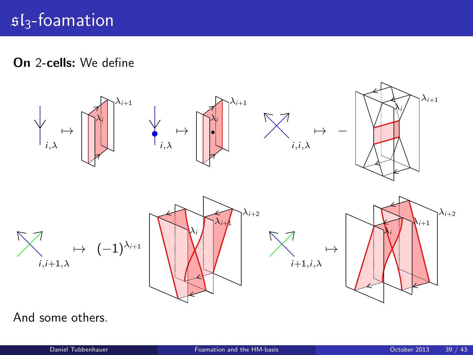On 2-cells: We define



And some others.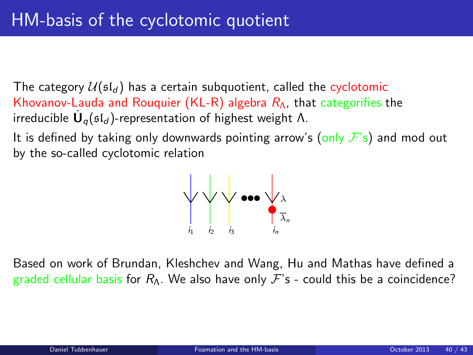The category  $U(\mathfrak{sl}_d)$  has a certain subquotient, called the cyclotomic Khovanov-Lauda and Rouquier (KL-R) algebra  $R_A$ , that categorifies the irreducible  $\dot{\mathsf{U}}_q(\mathfrak{sl}_d)$ -representation of highest weight Λ.

It is defined by taking only downwards pointing arrow's (only  $\mathcal{F}'s$ ) and mod out by the so-called cyclotomic relation



Based on work of Brundan, Kleshchev and Wang, Hu and Mathas have defined a graded cellular basis for  $R_{\Lambda}$ . We also have only  $\mathcal{F}'$ s - could this be a coincidence?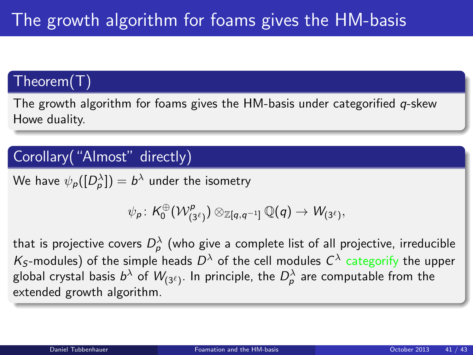## Theorem(T)

The growth algorithm for foams gives the HM-basis under categorified  $q$ -skew Howe duality.

## Corollary("Almost" directly)

We have  $\psi_\rho([D^\lambda_\rho])=b^\lambda$  under the isometry

$$
\psi_{\rho} \colon \mathcal{K}^{\oplus}_0(\mathcal{W}^{\rho}_{(3^{\ell})}) \otimes_{\mathbb{Z}[q,q^{-1}]} \mathbb{Q}(q) \rightarrow \mathcal{W}_{(3^{\ell})},
$$

that is projective covers  $D^\lambda_\rho$  (who give a complete list of all projective, irreducible  $\mathcal{K}_\mathcal{S}$ -modules) of the simple heads  $D^\lambda$  of the cell modules  $\mathcal{C}^\lambda$  categorify the upper global crystal basis  $b^\lambda$  of  $\mathcal{W}_{(3^\ell)}.$  In principle, the  $D_\rho^\lambda$  are computable from the extended growth algorithm.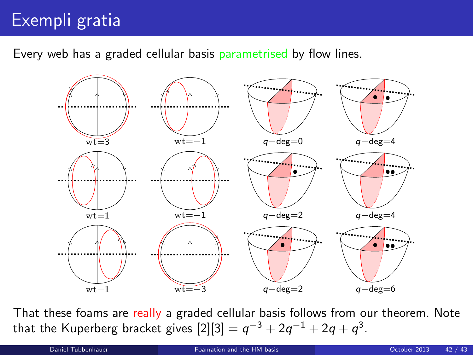# Exempli gratia

Every web has a graded cellular basis parametrised by flow lines.



That these foams are really a graded cellular basis follows from our theorem. Note that the Kuperberg bracket gives  $[2][3]=q^{-3}+2q^{-1}+2q+q^{3}.$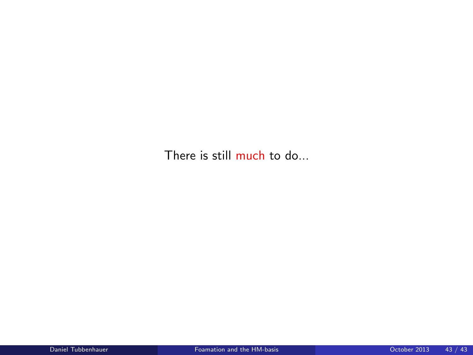There is still much to do...